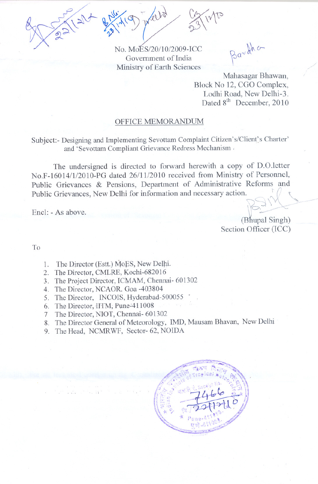

No. MoES/20/l0/2009-ICC Government of India Ministry of Earth Sciences

Bardha

Mahasagar Bhawan, Block No 12, CGO Complex, Lodhi Road, New Delhi-3. Dated 8<sup>th</sup> December, 2010

## OFFICE MEMORANDUM

Subject:- Designing and Implementing Sevottam Complaint Citizen's/Client's Charter' and 'Sevottam Compliant Grievance Redress Mechanism,

The undersigned is directed to forward herewith a copy of D.O.letter No.F-16014/1/2010-PG dated 26/11/2010 received from Ministry of Personnel, Public Grievances & Pensions, Department of Administrative Reforms and Public Grievances, New Delhi for information and necessary action.

 $\mathbb{R}$ <sup>1</sup>

 $\sum_{n=1}^{\infty}$ (Bhupal Singh) Section Officer (ICC)

To

- 1. The Director (Estt.) MoES, New Delhi.
- 2. The Director, CMLRE, Kochi-682016
- 3. The Project Director, ICMAM, Chennai- 601302
- 4. The Director, NCAOR. Goa -403804
- 5. The Director, INCOIS, Hyderabad-500055
- 6. The Director, HTM, Pune-411008

,,

- 7 The Director, NIOT, Chennai- 601302
- 8. The Director General of Meteorology, IMD, Mausam Bhavan, New Delhi
- 9. The Head, NCMRWF, Sector- 62, NOIDA

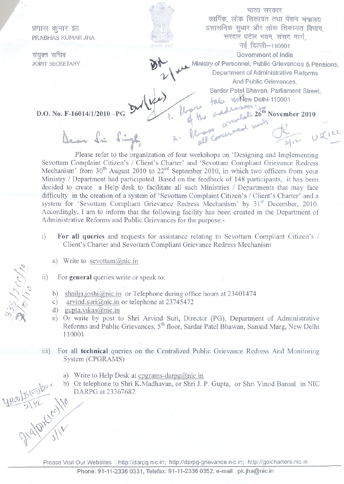फ़्शास कुमार झा<br>PRABHAS KUMAR JHA

संयुक्त सचिव JOINT SECRETARY

भारत सरकार कार्मिक, लोक शिकायत तथा पेंशन मंत्रालय प्रशासनिक सुधार और लोक शिकायत विभाग. सरदार पटेल भवन, संसद मार्ग, नई दिल्ली-110001 Government of India

 $\sqrt{\frac{1}{2}}$ 

 $\Delta$ 

Ministry of Personnel, Public Grievances & Pensions,<br>Department of Administrative Reforms Department of Administrative Reforms<br>And Public Grievances, Sardar Patel Bhavan, Parliament Street,

.toJu. '4A1t:tewDelhi-11000 1

the codework  $26^{\text{th}}$  November 2010

 $I_{\ell\rightarrow\ell}$  a near union of

D.O. No. F-16014/1/2010 $-PG$ 

Dear Si Singl.

 $\overline{y}$   $\overline{y}$ Please refer to the organization of four workshops on 'Designing and Implementing Sevottam Complaint Citizen's / Client's Charter' and 'Sevottam Compliant Grievance Redress Mechanism' from  $30<sup>th</sup>$  August 2010 to  $22<sup>nd</sup>$  September 2010, in which two officers from your Ministry / Department had participated. Based on the feedback of 148 participants, it has been decided to create a Help desk to facilitate all such Ministries / Departments that may face difficulty in the creation of a system of 'Sevottam Complaint Citizen's / Client's Charter' and a system for 'Sevottam Compliant Grievance Redress Mechanism' by 31<sup>st</sup> December, 2010. Accordingly, I am to inform that the following facility has been created in the Department of Administrative Reforms and Public Grievances for the purpose:-

Dear Si Single 2. Romanner Justice

- i) For all queries and requests for assistance relating to Sevottam Compliant Citizen's / Client's Charter and Sevottam Compliant Grievance Redress Mechanism
	- a) Write to sevottam@nic.in

ii) For general queries write or speak to:

- b) shailja.joshi@nic.in or Telephone during office hours at  $23401474$
- c) arvind.suri@nic.in or telephone at  $23745472$
- d) gupta.vikas@nic.in
- e) Or write by post to Shri Arvind Suri, Director (PG), Department of Administrative Reforms and Public Grievances, 5<sup>th</sup> floor, Sardar Patel Bhawan, Sansad Marg, New Delhi 110001
- iii) For all technical queries on the Centralized Public Grievance Redress And Monitoring System (CPGRAMS)
	- a) Write to Help Desk at cpgrams-darpg@nic.in
- 4800/5/2012010 Or telephone to Shri K.Madhavan, or Shri J. P. Gupta, or Shri Yinod Bansal in NIC DARPG at 23367682

Please Visit Our Websites : http://darpg.nic.in; http://darpg-grievance.nic.in; http://goicharters.nic.in